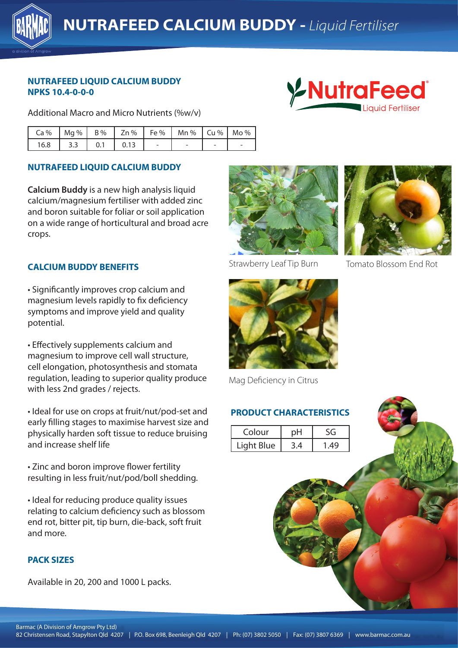

# **NUTRAFEED LIQUID CALCIUM BUDDY NPKS 10.4-0-0-0**

Additional Macro and Micro Nutrients (%w/v)



| $Ca\%$ |     |     |  | Mg %   B %   Zn %   Fe %   Mn %   Cu %   Mo % |  |
|--------|-----|-----|--|-----------------------------------------------|--|
| 16.8   | 3.3 | 0.1 |  |                                               |  |

# **NUTRAFEED LIQUID CALCIUM BUDDY**

**Calcium Buddy** is a new high analysis liquid calcium/magnesium fertiliser with added zinc and boron suitable for foliar or soil application on a wide range of horticultural and broad acre crops.

### **CALCIUM BUDDY BENEFITS**

magnesium levels rapidly to fix deficiency symptoms and improve yield and quality **Alternative Christensen Andrew Christensen** and improve yield and quality • Significantly improves crop calcium and potential.

• Effectively supplements calcium and magnesium to improve cell wall structure, cell elongation, photosynthesis and stomata regulation, leading to superior quality produce with less 2nd grades / rejects.

• Ideal for use on crops at fruit/nut/pod-set and early filling stages to maximise harvest size and physically harden soft tissue to reduce bruising and increase shelf life

• Zinc and boron improve flower fertility resulting in less fruit/nut/pod/boll shedding.

• Ideal for reducing produce quality issues relating to calcium deficiency such as blossom end rot, bitter pit, tip burn, die-back, soft fruit and more.

### **PACK SIZES**

Available in 20, 200 and 1000 L packs.



Strawberry Leaf Tip Burn Tomato Blossom End Rot



Mag Deficiency in Citrus

### **PRODUCT CHARACTERISTICS**

| Colour     | nŀ |      |
|------------|----|------|
| Light Blue |    | . 49 |